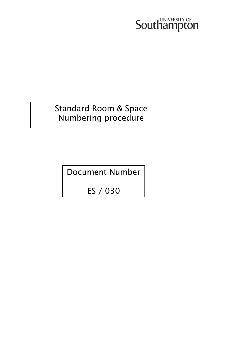## **Southampton**

### Standard Room & Space Numbering procedure

Document Number

ES / 030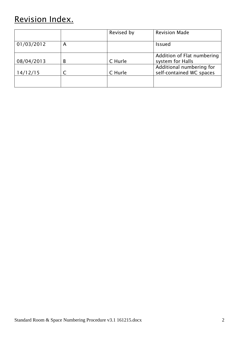## Revision Index.

|            |   | Revised by | <b>Revision Made</b>                                 |
|------------|---|------------|------------------------------------------------------|
| 01/03/2012 | А |            | <b>Issued</b>                                        |
| 08/04/2013 | B | C Hurle    | Addition of Flat numbering<br>system for Halls       |
| 14/12/15   |   | C Hurle    | Additional numbering for<br>self-contained WC spaces |
|            |   |            |                                                      |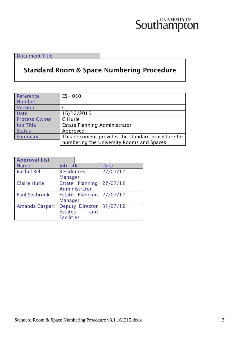# **Southampton**

Document Title

### **Standard Room & Space Numbering Procedure**

| Reference            | ES - 030                                          |
|----------------------|---------------------------------------------------|
| Number               |                                                   |
| Version              |                                                   |
| <b>Date</b>          | 16/12/2015                                        |
| <b>Process Owner</b> | C Hurle                                           |
| Job Title            | Estate Planning Administrator                     |
| <b>Status</b>        | Approved                                          |
| Summary              | This document provides the standard procedure for |
|                      | numbering the University Rooms and Spaces.        |

| <b>Approval List</b> |                   |                 |          |
|----------------------|-------------------|-----------------|----------|
| <b>Name</b>          | <b>Job Title</b>  |                 | Date     |
| <b>Rachel Bell</b>   | <b>Residences</b> |                 | 27/07/12 |
|                      | <b>Manager</b>    |                 |          |
| <b>Claire Hurle</b>  |                   | Estate Planning | 27/07/12 |
|                      |                   | Administrator   |          |
| <b>Paul Seabrook</b> |                   | Estate Planning | 27/07/12 |
|                      | <b>Manager</b>    |                 |          |
| Amanda Caspari       |                   | Deputy Director | 31/07/12 |
|                      | <b>Estates</b>    | and             |          |
|                      | <b>Facilities</b> |                 |          |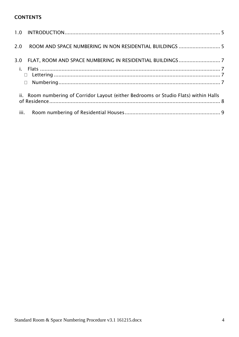#### **CONTENTS**

| 2.0 ROOM AND SPACE NUMBERING IN NON RESIDENTIAL BUILDINGS  5                                 |  |
|----------------------------------------------------------------------------------------------|--|
| $\Box$                                                                                       |  |
| ii. Room numbering of Corridor Layout (either Bedrooms or Studio Flats) within Halls<br>iii. |  |
|                                                                                              |  |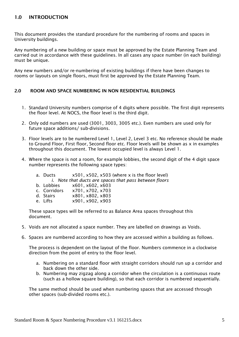#### <span id="page-4-0"></span>**1.0 INTRODUCTION**

This document provides the standard procedure for the numbering of rooms and spaces in University buildings.

Any numbering of a new building or space must be approved by the Estate Planning Team and carried out in accordance with these guidelines. In all cases any space number (in each building) must be unique.

Any new numbers and/or re-numbering of existing buildings if there have been changes to rooms or layouts on single floors, must first be approved by the Estate Planning Team.

#### <span id="page-4-1"></span>**2.0 ROOM AND SPACE NUMBERING IN NON RESIDENTIAL BUILDINGS**

- 1. Standard University numbers comprise of 4 digits where possible. The first digit represents the floor level. At NOCS, the floor level is the third digit.
- 2. Only odd numbers are used (3001, 3003, 3005 etc.). Even numbers are used only for future space additions/ sub-divisions.
- 3. Floor levels are to be numbered Level 1, Level 2, Level 3 etc. No reference should be made to Ground Floor, First floor, Second floor etc. Floor levels will be shown as x in examples throughout this document. The lowest occupied level is always Level 1.
- 4. Where the space is not a room, for example lobbies, the second digit of the 4 digit space number represents the following space types:

| <i>i.</i> Note that ducts are spaces that pass between floors |
|---------------------------------------------------------------|
|                                                               |
|                                                               |
|                                                               |
|                                                               |
|                                                               |
|                                                               |

These space types will be referred to as Balance Area spaces throughout this document.

- 5. Voids are not allocated a space number. They are labelled on drawings as Voids.
- 6. Spaces are numbered according to how they are accessed within a building as follows.

The process is dependent on the layout of the floor. Numbers commence in a clockwise direction from the point of entry to the floor level.

- a. Numbering on a standard floor with straight corridors should run up a corridor and back down the other side.
- b. Numbering may zigzag along a corridor when the circulation is a continuous route (such as a hollow square building), so that each corridor is numbered sequentially.

The same method should be used when numbering spaces that are accessed through other spaces (sub-divided rooms etc.).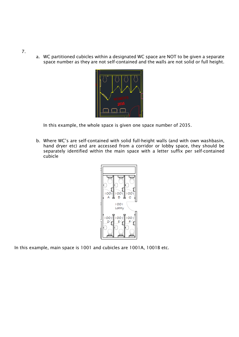a. WC partitioned cubicles within a designated WC space are NOT to be given a separate space number as they are not self-contained and the walls are not solid or full height.



In this example, the whole space is given one space number of 2035.

b. Where WC's are self-contained with solid full-height walls (and with own washbasin, hand dryer etc) and are accessed from a corridor or lobby space, they should be separately identified within the main space with a letter suffix per self-contained cubicle



In this example, main space is 1001 and cubicles are 1001A, 1001B etc.

7.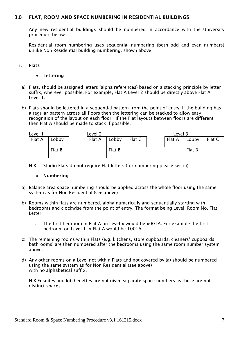#### <span id="page-6-0"></span>**3.0 FLAT, ROOM AND SPACE NUMBERING IN RESIDENTIAL BUILDINGS**

Any new residential buildings should be numbered in accordance with the University procedure below:

Residential room numbering uses sequential numbering (both odd and even numbers) unlike Non Residential building numbering, shown above.

#### <span id="page-6-2"></span><span id="page-6-1"></span>**i. Flats**

- **Lettering**
- a) Flats, should be assigned letters (alpha references) based on a stacking principle by letter suffix, wherever possible. For example, Flat A Level 2 should be directly above Flat A Level 1.
- b) Flats should be lettered in a sequential pattern from the point of entry. If the building has a regular pattern across all floors then the lettering can be stacked to allow easy recognition of the layout on each floor. If the Flat layouts between floors are different then Flat A should be made to stack if possible.



<span id="page-6-3"></span>N.B Studio Flats do not require Flat letters (for numbering please see iii).

#### **Numbering**

- a) Balance area space numbering should be applied across the whole floor using the same system as for Non Residential (see above)
- b) Rooms within flats are numbered, alpha numerically and sequentially starting with bedrooms and clockwise from the point of entry. The format being Level, Room No, Flat **Letter** 
	- i. The first bedroom in Flat A on Level x would be x001A. For example the first bedroom on Level 1 in Flat A would be 1001A.
- c) The remaining rooms within Flats (e.g. kitchens, store cupboards, cleaners' cupboards, bathrooms) are then numbered after the bedrooms using the same room number system above.
- d) Any other rooms on a Level not within Flats and not covered by (a) should be numbered using the same system as for Non Residential (see above) with no alphabetical suffix.

N.B Ensuites and kitchenettes are not given separate space numbers as these are not distinct spaces.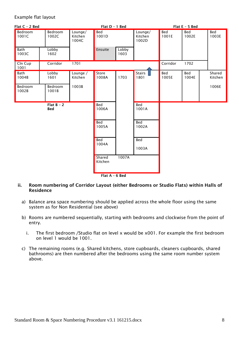#### Example flat layout



**Flat A – 6 Bed**

- <span id="page-7-0"></span>**ii. Room numbering of Corridor Layout (either Bedrooms or Studio Flats) within Halls of Residence** 
	- a) Balance area space numbering should be applied across the whole floor using the same system as for Non Residential (see above)
	- b) Rooms are numbered sequentially, starting with bedrooms and clockwise from the point of entry.
		- i. The first bedroom /Studio flat on level x would be x001. For example the first bedroom on level 1 would be 1001.
	- c) The remaining rooms (e.g. Shared kitchens, store cupboards, cleaners cupboards, shared bathrooms) are then numbered after the bedrooms using the same room number system above.